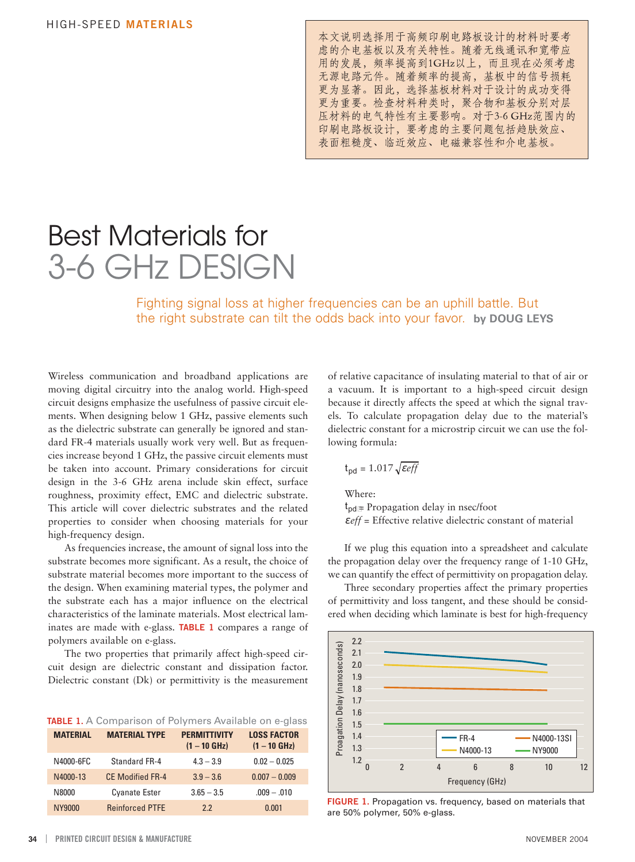本文说明选择用于高频印刷电路板设计的材料时要考 虑的介电基板以及有关特性。随着无线通讯和宽带应 用的发展,频率提高到1GHz以上,而且现在必须考虑 无源电路元件。随着频率的提高, 基板中的信号损耗 更为显著。因此, 选择基板材料对于设计的成功变得 更为重要。检查材料种类时, 聚合物和基板分别对层 压材料的电气特性有主要影响。对于3-6 GHz范围内的 印刷电路板设计,要考虑的主要问题包括趋肤效应、 表面粗糙度、临近效应、电磁兼容性和介电基板。

## Best Materials for 3-6 GHz DESIGN

Fighting signal loss at higher frequencies can be an uphill battle. But the right substrate can tilt the odds back into your favor. **by DOUG LEYS** 

Wireless communication and broadband applications are moving digital circuitry into the analog world. High-speed circuit designs emphasize the usefulness of passive circuit elements. When designing below 1 GHz, passive elements such as the dielectric substrate can generally be ignored and standard FR-4 materials usually work very well. But as frequencies increase beyond 1 GHz, the passive circuit elements must be taken into account. Primary considerations for circuit design in the 3-6 GHz arena include skin effect, surface roughness, proximity effect, EMC and dielectric substrate. This article will cover dielectric substrates and the related properties to consider when choosing materials for your high-frequency design.

As frequencies increase, the amount of signal loss into the substrate becomes more significant. As a result, the choice of substrate material becomes more important to the success of the design. When examining material types, the polymer and the substrate each has a major influence on the electrical characteristics of the laminate materials. Most electrical laminates are made with e-glass. **TABLE 1** compares a range of polymers available on e-glass.

The two properties that primarily affect high-speed circuit design are dielectric constant and dissipation factor. Dielectric constant (Dk) or permittivity is the measurement

|  |  |  |  | TABLE 1. A Comparison of Polymers Available on e-glass |  |
|--|--|--|--|--------------------------------------------------------|--|
|--|--|--|--|--------------------------------------------------------|--|

| <b>MATERIAL</b> | <b>MATERIAL TYPE</b>    | <b>PERMITTIVITY</b><br>$(1 - 10$ GHz) | <b>LOSS FACTOR</b><br>$(1 - 10$ GHz) |
|-----------------|-------------------------|---------------------------------------|--------------------------------------|
| N4000-6FC       | Standard FR-4           | $4.3 - 3.9$                           | $0.02 - 0.025$                       |
| N4000-13        | <b>CE Modified FR-4</b> | $3.9 - 3.6$                           | $0.007 - 0.009$                      |
| N8000           | <b>Cyanate Ester</b>    | $3.65 - 3.5$                          | $.009 - .010$                        |
| NY9000          | <b>Reinforced PTFF</b>  | 2.2                                   | 0.001                                |

of relative capacitance of insulating material to that of air or a vacuum. It is important to a high-speed circuit design because it directly affects the speed at which the signal travels. To calculate propagation delay due to the material's dielectric constant for a microstrip circuit we can use the following formula:

$$
t_{\text{pd}} = 1.017 \sqrt{\text{eff}}
$$

Where:

 $t_{pd}$  = Propagation delay in nsec/foot <sup>ε</sup> *eff* = Effective relative dielectric constant of material

If we plug this equation into a spreadsheet and calculate the propagation delay over the frequency range of 1-10 GHz, we can quantify the effect of permittivity on propagation delay.

Three secondary properties affect the primary properties of permittivity and loss tangent, and these should be considered when deciding which laminate is best for high-frequency



**FIGURE 1.** Propagation vs. frequency, based on materials that are 50% polymer, 50% e-glass.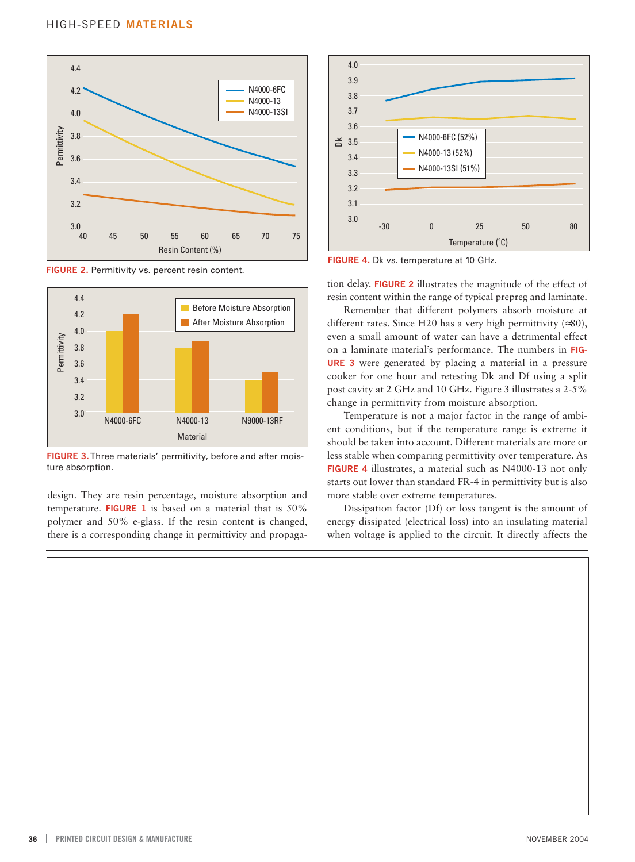

**FIGURE 2.** Permitivity vs. percent resin content.



design. They are resin percentage, moisture absorption and more stable over extreme temperatures. temperature. **FIGURE 1** is based on a material that is 50% Dissipation factor (Df) or loss tangent is the amount of polymer and 50% e-glass. If the resin content is changed, energy dissipated (electrical loss) into an insulating material there is a corresponding change in permittivity and propaga- when voltage is applied to the circuit. It directly affects the



**FIGURE 4.** Dk vs. temperature at 10 GHz.

resin content within the range of typical prepreg and laminate.

Remember that different polymers absorb moisture at different rates. Since H20 has a very high permittivity (≈80), even a small amount of water can have a detrimental effect on a laminate material's performance. The numbers in **FIG-URE 3** were generated by placing a material in a pressure cooker for one hour and retesting Dk and Df using a split post cavity at 2 GHz and 10 GHz. Figure 3 illustrates a 2-5% change in permittivity from moisture absorption.

Temperature is not a major factor in the range of ambient conditions, but if the temperature range is extreme it should be taken into account. Different materials are more or FIGURE 3. Three materials' permitivity, before and after mois-<br>less stable when comparing permittivity are temperature. As ture absorption. **FIGURE 4** illustrates, a material such as N4000-13 not only starts out lower than standard FR-4 in permittivity but is also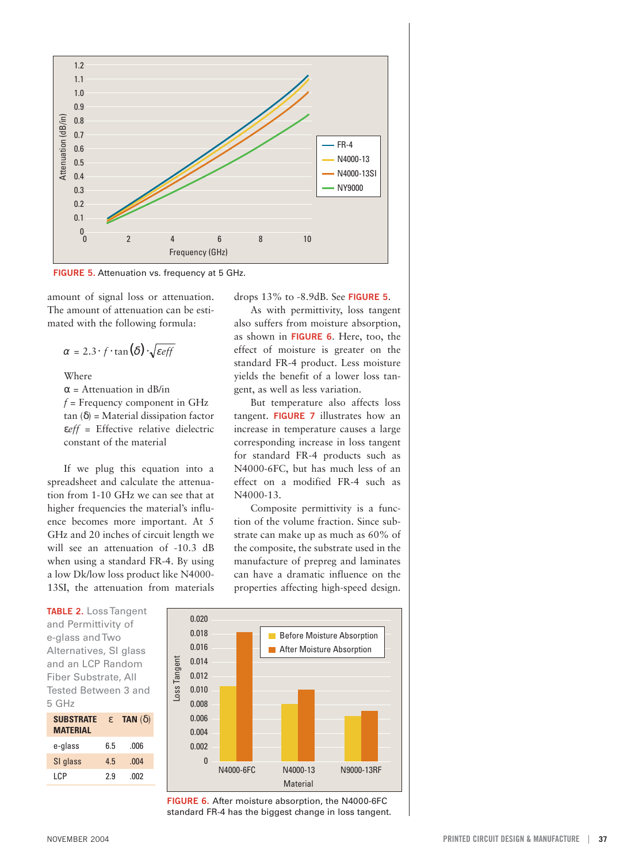

**FIGURE 5.** Attenuation vs. frequency at 5 GHz.

amount of signal loss or attenuation. drops 13% to -8.9dB. See **FIGURE 5**. The amount of attenuation can be esti- As with permittivity, loss tangent

Where

 $\alpha$  = Attenuation in dB/in *f* = Frequency component in GHz tan (δ) = Material dissipation factor ε*eff* = Effective relative dielectric constant of the material

If we plug this equation into a spreadsheet and calculate the attenuation from 1-10 GHz we can see that at higher frequencies the material's influence becomes more important. At 5 GHz and 20 inches of circuit length we will see an attenuation of -10.3 dB when using a standard FR-4. By using a low Dk/low loss product like N4000 13SI, the attenuation from materials

**TABLE 2.** Loss Tangent and Permittivity of e-glass and Two Alternatives, SI glass and an LCP Random Fiber Substrate, All Tested Between 3 and 5 GHz

| <b>SUBSTRATE</b><br><b>MATERIAL</b> | $\epsilon$ | <b>TAN</b> $(\delta)$ |
|-------------------------------------|------------|-----------------------|
| e-glass                             | 6.5        | .006                  |
| SI glass                            | 4.5        | .004                  |
| I CP                                | 29         | .002                  |

mated with the following formula: also suffers from moisture absorption, as shown in **FIGURE 6**. Here, too, the  $\alpha = 2.3 \cdot f \cdot \tan(\delta) \cdot \sqrt{\epsilon_{eff}}$  effect of moisture is greater on the standard FR-4 product. Less moisture yields the benefit of a lower loss tangent, as well as less variation.

> But temperature also affects loss tangent. **FIGURE 7** illustrates how an increase in temperature causes a large corresponding increase in loss tangent for standard FR-4 products such as N4000-6FC, but has much less of an effect on a modified FR-4 such as N4000-13.

> Composite permittivity is a function of the volume fraction. Since substrate can make up as much as 60% of the composite, the substrate used in the manufacture of prepreg and laminates can have a dramatic influence on the properties affecting high-speed design.



**FIGURE 6.** After moisture absorption, the N4000-6FC standard FR-4 has the biggest change in loss tangent.